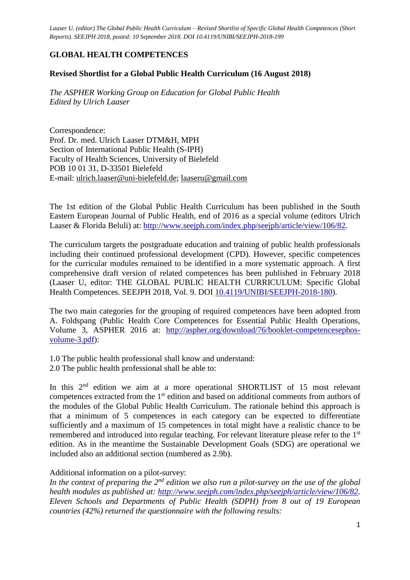### **GLOBAL HEALTH COMPETENCES**

#### **Revised Shortlist for a Global Public Health Curriculum (16 August 2018)**

*The ASPHER Working Group on Education for Global Public Health Edited by Ulrich Laaser*

Correspondence: Prof. Dr. med. Ulrich Laaser DTM&H, MPH Section of International Public Health (S-IPH) Faculty of Health Sciences, University of Bielefeld POB 10 01 31, D-33501 Bielefeld E-mail: [ulrich.laaser@uni-bielefeld.de;](mailto:ulrich.laaser@uni-bielefeld.de) [laaseru@gmail.com](mailto:laaseru@gmail.com)

The 1st edition of the Global Public Health Curriculum has been published in the South Eastern European Journal of Public Health, end of 2016 as a special volume (editors Ulrich Laaser & Florida Beluli) at: [http://www.seejph.com/index.php/seejph/article/view/106/82.](http://www.seejph.com/index.php/seejph/article/view/106/82)

The curriculum targets the postgraduate education and training of public health professionals including their continued professional development (CPD). However, specific competences for the curricular modules remained to be identified in a more systematic approach. A first comprehensive draft version of related competences has been published in February 2018 (Laaser U, editor: THE GLOBAL PUBLIC HEALTH CURRICULUM: Specific Global Health Competences. SEEJPH 2018, Vol. 9. DOI [10.4119/UNIBI/SEEJPH-2018-180\)](http://doi.org/10.4119/UNIBI/SEEJPH-2017-180).

The two main categories for the grouping of required competences have been adopted from A. Foldspang (Public Health Core Competences for Essential Public Health Operations, Volume 3, ASPHER 2016 at: [http://aspher.org/download/76/booklet-competencesephos](http://aspher.org/download/76/booklet-competencesephos-volume-3.pdf)[volume-3.pdf\)](http://aspher.org/download/76/booklet-competencesephos-volume-3.pdf):

1.0 The public health professional shall know and understand: 2.0 The public health professional shall be able to:

In this  $2<sup>nd</sup>$  edition we aim at a more operational SHORTLIST of 15 most relevant competences extracted from the 1st edition and based on additional comments from authors of the modules of the Global Public Health Curriculum. The rationale behind this approach is that a minimum of 5 competences in each category can be expected to differentiate sufficiently and a maximum of 15 competences in total might have a realistic chance to be remembered and introduced into regular teaching. For relevant literature please refer to the 1<sup>st</sup> edition. As in the meantime the Sustainable Development Goals (SDG) are operational we included also an additional section (numbered as 2.9b).

#### Additional information on a pilot-survey:

*In the context of preparing the 2nd edition we also run a pilot-survey on the use of the global health modules as published at: [http://www.seejph.com/index.php/seejph/article/view/106/82.](http://www.seejph.com/index.php/seejph/article/view/106/82) Eleven Schools and Departments of Public Health (SDPH) from 8 out of 19 European countries (42%) returned the questionnaire with the following results:*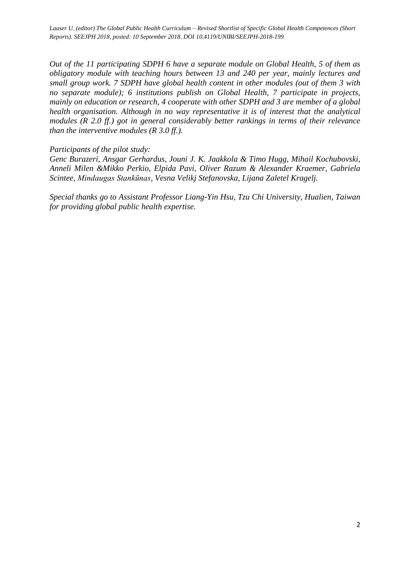*Out of the 11 participating SDPH 6 have a separate module on Global Health, 5 of them as obligatory module with teaching hours between 13 and 240 per year, mainly lectures and small group work. 7 SDPH have global health content in other modules (out of them 3 with no separate module); 6 institutions publish on Global Health, 7 participate in projects, mainly on education or research, 4 cooperate with other SDPH and 3 are member of a global health organisation. Although in no way representative it is of interest that the analytical modules (R 2.0 ff.) got in general considerably better rankings in terms of their relevance than the interventive modules (R 3.0 ff.).*

*Participants of the pilot study:* 

*Genc Burazeri, Ansgar Gerhardus, Jouni J. K. Jaakkola & Timo Hugg, Mihail Kochubovski, Anneli Milen &Mikko Perkio, Elpida Pavi, Oliver Razum & Alexander Kraemer, Gabriela Scintee, Mindaugas Stankūnas, Vesna Velikj Stefanovska, Lijana Zaletel Kragelj.*

*Special thanks go to Assistant Professor Liang-Yin Hsu, Tzu Chi University, Hualien, Taiwan for providing global public health expertise.*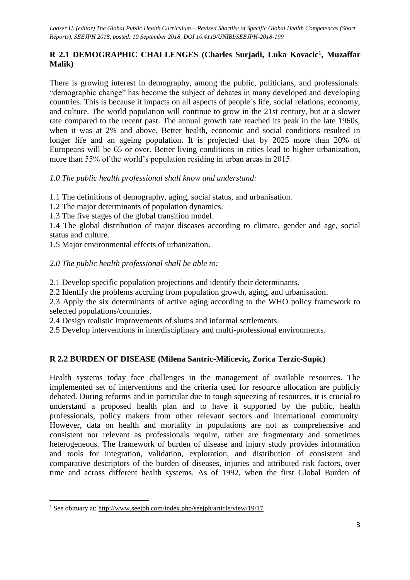## **R 2.1 DEMOGRAPHIC CHALLENGES (Charles Surjadi, Luka Kovacic<sup>1</sup> , Muzaffar Malik)**

There is growing interest in demography, among the public, politicians, and professionals: "demographic change" has become the subject of debates in many developed and developing countries. This is because it impacts on all aspects of people`s life, social relations, economy, and culture. The world population will continue to grow in the 21st century, but at a slower rate compared to the recent past. The annual growth rate reached its peak in the late 1960s, when it was at 2% and above. Better health, economic and social conditions resulted in longer life and an ageing population. It is projected that by 2025 more than 20% of Europeans will be 65 or over. Better living conditions in cities lead to higher urbanization, more than 55% of the world's population residing in urban areas in 2015.

## *1.0 The public health professional shall know and understand:*

1.1 The definitions of demography, aging, social status, and urbanisation.

- 1.2 The major determinants of population dynamics.
- 1.3 The five stages of the global transition model.

1.4 The global distribution of major diseases according to climate, gender and age, social status and culture.

1.5 Major environmental effects of urbanization.

## *2.0 The public health professional shall be able to:*

2.1 Develop specific population projections and identify their determinants.

2.2 Identify the problems accruing from population growth, aging, and urbanisation.

2.3 Apply the six determinants of active aging according to the WHO policy framework to selected populations/countries.

2.4 Design realistic improvements of slums and informal settlements.

2.5 Develop interventions in interdisciplinary and multi-professional environments.

## **R 2.2 BURDEN OF DISEASE (Milena Santric-Milicevic, Zorica Terzic-Supic)**

Health systems today face challenges in the management of available resources. The implemented set of interventions and the criteria used for resource allocation are publicly debated. During reforms and in particular due to tough squeezing of resources, it is crucial to understand a proposed health plan and to have it supported by the public, health professionals, policy makers from other relevant sectors and international community. However, data on health and mortality in populations are not as comprehensive and consistent nor relevant as professionals require, rather are fragmentary and sometimes heterogeneous. The framework of burden of disease and injury study provides information and tools for integration, validation, exploration, and distribution of consistent and comparative descriptors of the burden of diseases, injuries and attributed risk factors, over time and across different health systems. As of 1992, when the first Global Burden of

**.** 

<sup>&</sup>lt;sup>1</sup> See obituary at:<http://www.seejph.com/index.php/seejph/article/view/19/17>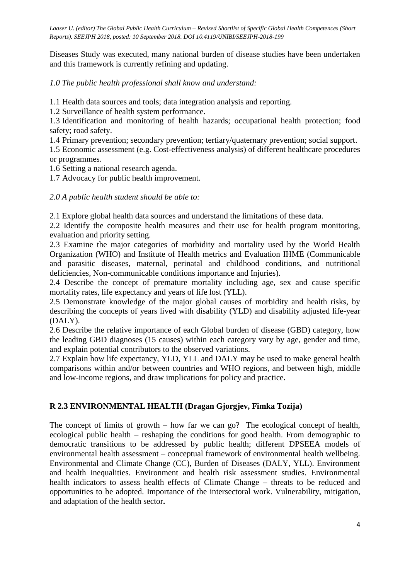Diseases Study was executed, many national burden of disease studies have been undertaken and this framework is currently refining and updating.

*1.0 The public health professional shall know and understand:*

1.1 Health data sources and tools; data integration analysis and reporting.

1.2 Surveillance of health system performance.

1.3 Identification and monitoring of health hazards; occupational health protection; food safety; road safety.

1.4 Primary prevention; secondary prevention; tertiary/quaternary prevention; social support.

1.5 Economic assessment (e.g. Cost-effectiveness analysis) of different healthcare procedures or programmes.

1.6 Setting a national research agenda.

1.7 Advocacy for public health improvement.

*2.0 A public health student should be able to:*

2.1 Explore global health data sources and understand the limitations of these data.

2.2 Identify the composite health measures and their use for health program monitoring, evaluation and priority setting.

2.3 Examine the major categories of morbidity and mortality used by the World Health Organization (WHO) and Institute of Health metrics and Evaluation IHME (Communicable and parasitic diseases, maternal, perinatal and childhood conditions, and nutritional deficiencies, Non-communicable conditions importance and Injuries).

2.4 Describe the concept of premature mortality including age, sex and cause specific mortality rates, life expectancy and years of life lost (YLL).

2.5 Demonstrate knowledge of the major global causes of morbidity and health risks, by describing the concepts of years lived with disability (YLD) and disability adjusted life-year (DALY).

2.6 Describe the relative importance of each Global burden of disease (GBD) category, how the leading GBD diagnoses (15 causes) within each category vary by age, gender and time, and explain potential contributors to the observed variations.

2.7 Explain how life expectancy, YLD, YLL and DALY may be used to make general health comparisons within and/or between countries and WHO regions, and between high, middle and low-income regions, and draw implications for policy and practice.

#### **R 2.3 ENVIRONMENTAL HEALTH (Dragan Gjorgjev, Fimka Tozija)**

The concept of limits of growth – how far we can go? The ecological concept of health, ecological public health – reshaping the conditions for good health. From demographic to democratic transitions to be addressed by public health; different DPSEEA models of environmental health assessment – conceptual framework of environmental health wellbeing. Environmental and Climate Change (CC), Burden of Diseases (DALY, YLL). Environment and health inequalities. Environment and health risk assessment studies. Environmental health indicators to assess health effects of Climate Change – threats to be reduced and opportunities to be adopted. Importance of the intersectoral work. Vulnerability, mitigation, and adaptation of the health sector**.**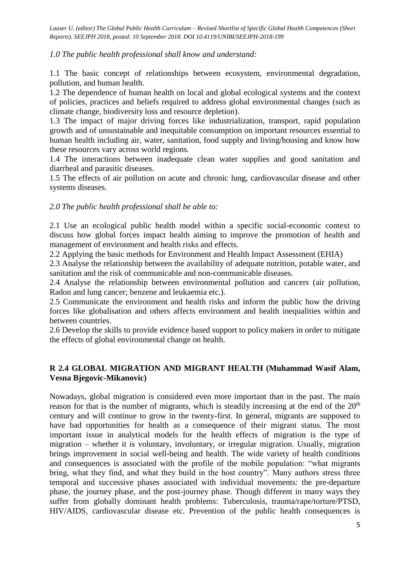*1.0 The public health professional shall know and understand:*

1.1 The basic concept of relationships between ecosystem, environmental degradation, pollution, and human health.

1.2 The dependence of human health on local and global ecological systems and the context of policies, practices and beliefs required to address global environmental changes (such as climate change, biodiversity loss and resource depletion).

1.3 The impact of major driving forces like industrialization, transport, rapid population growth and of unsustainable and inequitable consumption on important resources essential to human health including air, water, sanitation, food supply and living/housing and know how these resources vary across world regions.

1.4 The interactions between inadequate clean water supplies and good sanitation and diarrheal and parasitic diseases.

1.5 The effects of air pollution on acute and chronic lung, cardiovascular disease and other systems diseases.

#### *2.0 The public health professional shall be able to:*

2.1 Use an ecological public health model within a specific social-economic context to discuss how global forces impact health aiming to improve the promotion of health and management of environment and health risks and effects.

2.2 Applying the basic methods for Environment and Health Impact Assessment (EHIA)

2.3 Analyse the relationship between the availability of adequate nutrition, potable water, and sanitation and the risk of communicable and non-communicable diseases.

2.4 Analyse the relationship between environmental pollution and cancers (air pollution, Radon and lung cancer; benzene and leukaemia etc.).

2.5 Communicate the environment and health risks and inform the public how the driving forces like globalisation and others affects environment and health inequalities within and between countries.

2.6 Develop the skills to provide evidence based support to policy makers in order to mitigate the effects of global environmental change on health.

## **R 2.4 GLOBAL MIGRATION AND MIGRANT HEALTH (Muhammad Wasif Alam, Vesna Bjegovic-Mikanovic)**

Nowadays, global migration is considered even more important than in the past. The main reason for that is the number of migrants, which is steadily increasing at the end of the  $20<sup>th</sup>$ century and will continue to grow in the twenty-first. In general, migrants are supposed to have bad opportunities for health as a consequence of their migrant status. The most important issue in analytical models for the health effects of migration is the type of migration – whether it is voluntary, involuntary, or irregular migration. Usually, migration brings improvement in social well-being and health. The wide variety of health conditions and consequences is associated with the profile of the mobile population: "what migrants bring, what they find, and what they build in the host country". Many authors stress three temporal and successive phases associated with individual movements: the pre-departure phase, the journey phase, and the post-journey phase. Though different in many ways they suffer from globally dominant health problems: Tuberculosis, trauma/rape/torture/PTSD, HIV/AIDS, cardiovascular disease etc. Prevention of the public health consequences is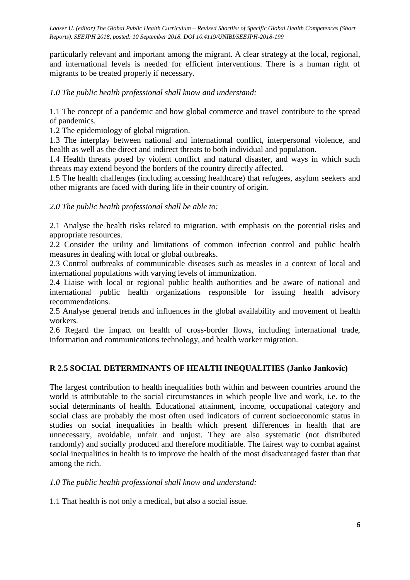particularly relevant and important among the migrant. A clear strategy at the local, regional, and international levels is needed for efficient interventions. There is a human right of migrants to be treated properly if necessary.

### *1.0 The public health professional shall know and understand:*

1.1 The concept of a pandemic and how global commerce and travel contribute to the spread of pandemics.

1.2 The epidemiology of global migration.

1.3 The interplay between national and international conflict, interpersonal violence, and health as well as the direct and indirect threats to both individual and population.

1.4 Health threats posed by violent conflict and natural disaster, and ways in which such threats may extend beyond the borders of the country directly affected.

1.5 The health challenges (including accessing healthcare) that refugees, asylum seekers and other migrants are faced with during life in their country of origin.

#### *2.0 The public health professional shall be able to:*

2.1 Analyse the health risks related to migration, with emphasis on the potential risks and appropriate resources.

2.2 Consider the utility and limitations of common infection control and public health measures in dealing with local or global outbreaks.

2.3 Control outbreaks of communicable diseases such as measles in a context of local and international populations with varying levels of immunization.

2.4 Liaise with local or regional public health authorities and be aware of national and international public health organizations responsible for issuing health advisory recommendations.

2.5 Analyse general trends and influences in the global availability and movement of health workers.

2.6 Regard the impact on health of cross-border flows, including international trade, information and communications technology, and health worker migration.

#### **R 2.5 SOCIAL DETERMINANTS OF HEALTH INEQUALITIES (Janko Jankovic)**

The largest contribution to health inequalities both within and between countries around the world is attributable to the social circumstances in which people live and work, i.e. to the social determinants of health. Educational attainment, income, occupational category and social class are probably the most often used indicators of current socioeconomic status in studies on social inequalities in health which present differences in health that are unnecessary, avoidable, unfair and unjust. They are also systematic (not distributed randomly) and socially produced and therefore modifiable. The fairest way to combat against social inequalities in health is to improve the health of the most disadvantaged faster than that among the rich.

*1.0 The public health professional shall know and understand:*

1.1 That health is not only a medical, but also a social issue.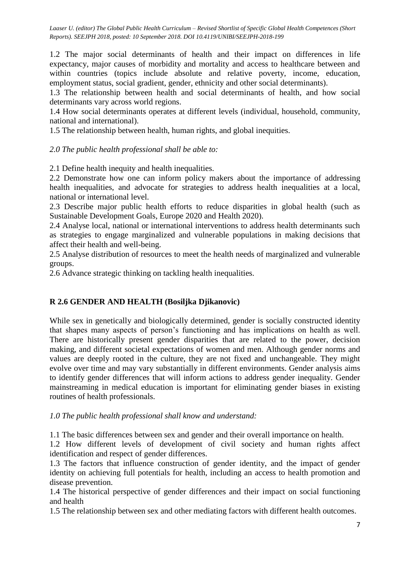1.2 The major social determinants of health and their impact on differences in life expectancy, major causes of morbidity and mortality and access to healthcare between and within countries (topics include absolute and relative poverty, income, education, employment status, social gradient, gender, ethnicity and other social determinants).

1.3 The relationship between health and social determinants of health, and how social determinants vary across world regions.

1.4 How social determinants operates at different levels (individual, household, community, national and international).

1.5 The relationship between health, human rights, and global inequities.

*2.0 The public health professional shall be able to:*

2.1 Define health inequity and health inequalities.

2.2 Demonstrate how one can inform policy makers about the importance of addressing health inequalities, and advocate for strategies to address health inequalities at a local, national or international level.

2.3 Describe major public health efforts to reduce disparities in global health (such as Sustainable Development Goals, Europe 2020 and Health 2020).

2.4 Analyse local, national or international interventions to address health determinants such as strategies to engage marginalized and vulnerable populations in making decisions that affect their health and well-being.

2.5 Analyse distribution of resources to meet the health needs of marginalized and vulnerable groups.

2.6 Advance strategic thinking on tackling health inequalities.

#### **R 2.6 GENDER AND HEALTH (Bosiljka Djikanovic)**

While sex in genetically and biologically determined, gender is socially constructed identity that shapes many aspects of person's functioning and has implications on health as well. There are historically present gender disparities that are related to the power, decision making, and different societal expectations of women and men. Although gender norms and values are deeply rooted in the culture, they are not fixed and unchangeable. They might evolve over time and may vary substantially in different environments. Gender analysis aims to identify gender differences that will inform actions to address gender inequality. Gender mainstreaming in medical education is important for eliminating gender biases in existing routines of health professionals.

#### *1.0 The public health professional shall know and understand:*

1.1 The basic differences between sex and gender and their overall importance on health.

1.2 How different levels of development of civil society and human rights affect identification and respect of gender differences.

1.3 The factors that influence construction of gender identity, and the impact of gender identity on achieving full potentials for health, including an access to health promotion and disease prevention.

1.4 The historical perspective of gender differences and their impact on social functioning and health

1.5 The relationship between sex and other mediating factors with different health outcomes.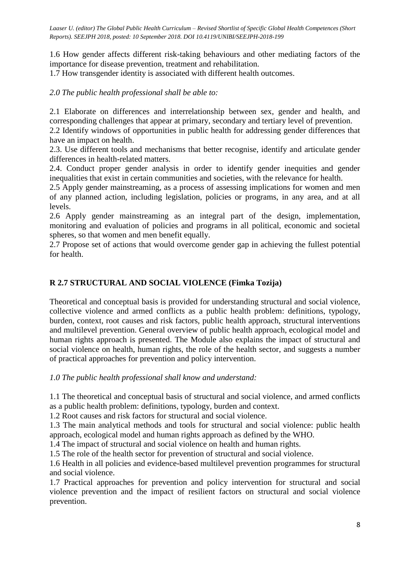1.6 How gender affects different risk-taking behaviours and other mediating factors of the importance for disease prevention, treatment and rehabilitation.

1.7 How transgender identity is associated with different health outcomes.

## *2.0 The public health professional shall be able to:*

2.1 Elaborate on differences and interrelationship between sex, gender and health, and corresponding challenges that appear at primary, secondary and tertiary level of prevention.

2.2 Identify windows of opportunities in public health for addressing gender differences that have an impact on health.

2.3. Use different tools and mechanisms that better recognise, identify and articulate gender differences in health-related matters.

2.4. Conduct proper gender analysis in order to identify gender inequities and gender inequalities that exist in certain communities and societies, with the relevance for health.

2.5 Apply gender mainstreaming, as a process of assessing implications for women and men of any planned action, including legislation, policies or programs, in any area, and at all levels.

2.6 Apply gender mainstreaming as an integral part of the design, implementation, monitoring and evaluation of policies and programs in all political, economic and societal spheres, so that women and men benefit equally.

2.7 Propose set of actions that would overcome gender gap in achieving the fullest potential for health.

## **R 2.7 STRUCTURAL AND SOCIAL VIOLENCE (Fimka Tozija)**

Theoretical and conceptual basis is provided for understanding structural and social violence, collective violence and armed conflicts as a public health problem: definitions, typology, burden, context, root causes and risk factors, public health approach, structural interventions and multilevel prevention. General overview of public health approach, ecological model and human rights approach is presented. The Module also explains the impact of structural and social violence on health, human rights, the role of the health sector, and suggests a number of practical approaches for prevention and policy intervention.

*1.0 The public health professional shall know and understand:*

1.1 The theoretical and conceptual basis of structural and social violence, and armed conflicts as a public health problem: definitions, typology, burden and context.

1.2 Root causes and risk factors for structural and social violence.

1.3 The main analytical methods and tools for structural and social violence: public health approach, ecological model and human rights approach as defined by the WHO.

1.4 The impact of structural and social violence on health and human rights.

1.5 The role of the health sector for prevention of structural and social violence.

1.6 Health in all policies and evidence-based multilevel prevention programmes for structural and social violence.

1.7 Practical approaches for prevention and policy intervention for structural and social violence prevention and the impact of resilient factors on structural and social violence prevention.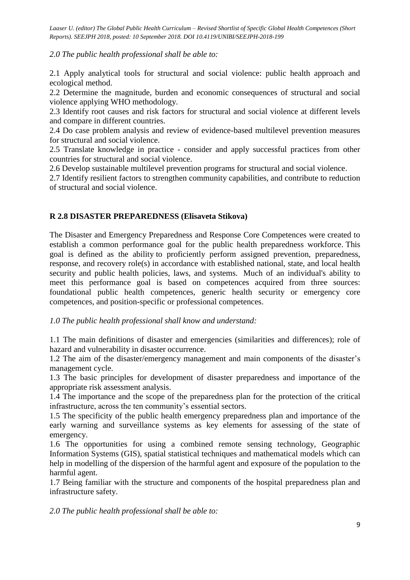*2.0 The public health professional shall be able to:*

2.1 Apply analytical tools for structural and social violence: public health approach and ecological method.

2.2 Determine the magnitude, burden and economic consequences of structural and social violence applying WHO methodology.

2.3 Identify root causes and risk factors for structural and social violence at different levels and compare in different countries.

2.4 Do case problem analysis and review of evidence-based multilevel prevention measures for structural and social violence.

2.5 Translate knowledge in practice - consider and apply successful practices from other countries for structural and social violence.

2.6 Develop sustainable multilevel prevention programs for structural and social violence.

2.7 Identify resilient factors to strengthen community capabilities, and contribute to reduction of structural and social violence.

#### **R 2.8 DISASTER PREPAREDNESS (Elisaveta Stikova)**

The Disaster and Emergency Preparedness and Response Core Competences were created to establish a common performance goal for the public health preparedness workforce. This goal is defined as the ability to proficiently perform assigned prevention, preparedness, response, and recovery role(s) in accordance with established national, state, and local health security and public health policies, laws, and systems. Much of an individual's ability to meet this performance goal is based on competences acquired from three sources: foundational public health competences, generic health security or emergency core competences, and position-specific or professional competences.

#### *1.0 The public health professional shall know and understand:*

1.1 The main definitions of disaster and emergencies (similarities and differences); role of hazard and vulnerability in disaster occurrence.

1.2 The aim of the disaster/emergency management and main components of the disaster's management cycle.

1.3 The basic principles for development of disaster preparedness and importance of the appropriate risk assessment analysis.

1.4 The importance and the scope of the preparedness plan for the protection of the critical infrastructure, across the ten community's essential sectors.

1.5 The specificity of the public health emergency preparedness plan and importance of the early warning and surveillance systems as key elements for assessing of the state of emergency.

1.6 The opportunities for using a combined remote sensing technology, Geographic Information Systems (GIS), spatial statistical techniques and mathematical models which can help in modelling of the dispersion of the harmful agent and exposure of the population to the harmful agent.

1.7 Being familiar with the structure and components of the hospital preparedness plan and infrastructure safety.

*2.0 The public health professional shall be able to:*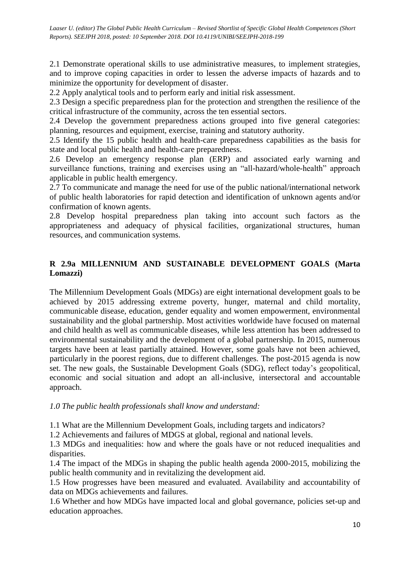2.1 Demonstrate operational skills to use administrative measures, to implement strategies, and to improve coping capacities in order to lessen the adverse impacts of hazards and to minimize the opportunity for development of disaster.

2.2 Apply analytical tools and to perform early and initial risk assessment.

2.3 Design a specific preparedness plan for the protection and strengthen the resilience of the critical infrastructure of the community, across the ten essential sectors.

2.4 Develop the government preparedness actions grouped into five general categories: planning, resources and equipment, exercise, training and statutory authority.

2.5 Identify the 15 public health and health-care preparedness capabilities as the basis for state and local public health and health-care preparedness.

2.6 Develop an emergency response plan (ERP) and associated early warning and surveillance functions, training and exercises using an "all-hazard/whole-health" approach applicable in public health emergency.

2.7 To communicate and manage the need for use of the public national/international network of public health laboratories for rapid detection and identification of unknown agents and/or confirmation of known agents.

2.8 Develop hospital preparedness plan taking into account such factors as the appropriateness and adequacy of physical facilities, organizational structures, human resources, and communication systems.

## **R 2.9a MILLENNIUM AND SUSTAINABLE DEVELOPMENT GOALS (Marta Lomazzi)**

The Millennium Development Goals (MDGs) are eight international development goals to be achieved by 2015 addressing extreme poverty, hunger, maternal and child mortality, communicable disease, education, gender equality and women empowerment, environmental sustainability and the global partnership. Most activities worldwide have focused on maternal and child health as well as communicable diseases, while less attention has been addressed to environmental sustainability and the development of a global partnership. In 2015, numerous targets have been at least partially attained. However, some goals have not been achieved, particularly in the poorest regions, due to different challenges. The post-2015 agenda is now set. The new goals, the Sustainable Development Goals (SDG), reflect today's geopolitical, economic and social situation and adopt an all-inclusive, intersectoral and accountable approach.

#### *1.0 The public health professionals shall know and understand:*

1.1 What are the Millennium Development Goals, including targets and indicators?

1.2 Achievements and failures of MDGS at global, regional and national levels.

1.3 MDGs and inequalities: how and where the goals have or not reduced inequalities and disparities.

1.4 The impact of the MDGs in shaping the public health agenda 2000-2015, mobilizing the public health community and in revitalizing the development aid.

1.5 How progresses have been measured and evaluated. Availability and accountability of data on MDGs achievements and failures.

1.6 Whether and how MDGs have impacted local and global governance, policies set-up and education approaches.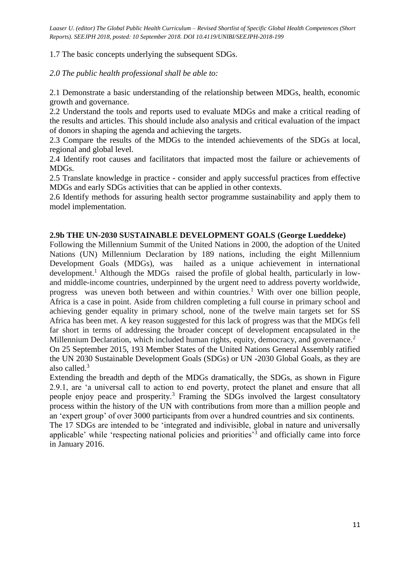1.7 The basic concepts underlying the subsequent SDGs.

*2.0 The public health professional shall be able to:*

2.1 Demonstrate a basic understanding of the relationship between MDGs, health, economic growth and governance.

2.2 Understand the tools and reports used to evaluate MDGs and make a critical reading of the results and articles. This should include also analysis and critical evaluation of the impact of donors in shaping the agenda and achieving the targets.

2.3 Compare the results of the MDGs to the intended achievements of the SDGs at local, regional and global level.

2.4 Identify root causes and facilitators that impacted most the failure or achievements of MDGs.

2.5 Translate knowledge in practice - consider and apply successful practices from effective MDGs and early SDGs activities that can be applied in other contexts.

2.6 Identify methods for assuring health sector programme sustainability and apply them to model implementation.

#### **2.9b THE UN-2030 SUSTAINABLE DEVELOPMENT GOALS (George Lueddeke)**

Following the Millennium Summit of the United Nations in 2000, the adoption of the United Nations (UN) Millennium Declaration by 189 nations, including the eight Millennium Development Goals (MDGs), was hailed as a unique achievement in international development.<sup>1</sup> Although the MDGs raised the profile of global health, particularly in lowand middle-income countries, underpinned by the urgent need to address poverty worldwide, progress was uneven both between and within countries.<sup>1</sup> With over one billion people, Africa is a case in point. Aside from children completing a full course in primary school and achieving gender equality in primary school, none of the twelve main targets set for SS Africa has been met. A key reason suggested for this lack of progress was that the MDGs fell far short in terms of addressing the broader concept of development encapsulated in the Millennium Declaration, which included human rights, equity, democracy, and governance.<sup>2</sup>

On 25 September 2015, 193 Member States of the United Nations General Assembly ratified the UN 2030 Sustainable Development Goals (SDGs) or UN -2030 Global Goals, as they are also called.<sup>3</sup>

Extending the breadth and depth of the MDGs dramatically, the SDGs, as shown in Figure 2.9.1, are 'a universal call to action to end poverty, protect the planet and ensure that all people enjoy peace and prosperity.<sup>3</sup> Framing the SDGs involved the largest consultatory process within the history of the UN with contributions from more than a million people and an 'expert group' of over 3000 participants from over a hundred countries and six continents.

The 17 SDGs are intended to be 'integrated and indivisible, global in nature and universally applicable' while 'respecting national policies and priorities'<sup>3</sup> and officially came into force in January 2016.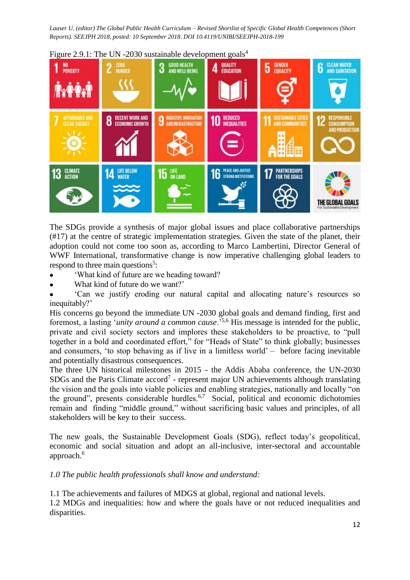

Figure 2.9.1: The UN -2030 sustainable development goals<sup>4</sup>

The SDGs provide a synthesis of major global issues and place collaborative partnerships (#17) at the centre of strategic implementation strategies. Given the state of the planet, their adoption could not come too soon as, according to Marco Lambertini, Director General of WWF International, transformative change is now imperative challenging global leaders to respond to three main questions<sup>5</sup>:

- 'What kind of future are we heading toward?
- What kind of future do we want?'
- 'Can we justify eroding our natural capital and allocating nature's resources so inequitably?'

His concerns go beyond the immediate UN -2030 global goals and demand finding, first and foremost, a lasting '*unity around a common cause*.'5,6 His message is intended for the public, private and civil society sectors and implores these stakeholders to be proactive, to "pull together in a bold and coordinated effort," for "Heads of State" to think globally; businesses and consumers, 'to stop behaving as if live in a limitless world' *–* before facing inevitable and potentially disastrous consequences.

The three UN historical milestones in 2015 - the Addis Ababa conference, the UN-2030  $SDGs$  and the Paris Climate  $accord<sup>7</sup>$  - represent major UN achievements although translating the vision and the goals into viable policies and enabling strategies, nationally and locally "on the ground", presents considerable hurdles. $6,7$  Social, political and economic dichotomies remain and finding "middle ground," without sacrificing basic values and principles, of all stakeholders will be key to their success.

The new goals, the Sustainable Development Goals (SDG), reflect today's geopolitical, economic and social situation and adopt an all-inclusive, inter-sectoral and accountable approach.<sup>6</sup>

## *1.0 The public health professionals shall know and understand:*

1.1 The achievements and failures of MDGS at global, regional and national levels.

1.2 MDGs and inequalities: how and where the goals have or not reduced inequalities and disparities.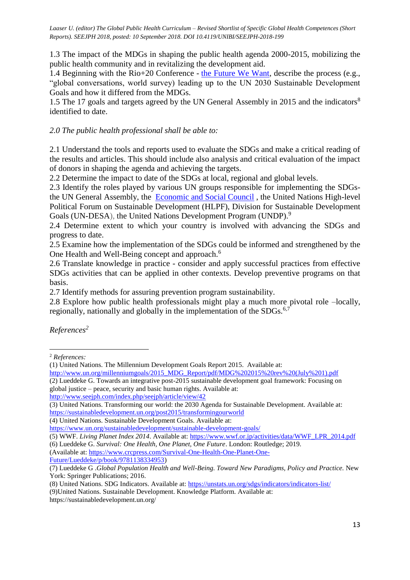1.3 The impact of the MDGs in shaping the public health agenda 2000-2015, mobilizing the public health community and in revitalizing the development aid.

1.4 Beginning with the Rio+20 Conference - [the Future We Want,](https://sustainabledevelopment.un.org/index.php?menu=1298) describe the process (e.g., "global conversations, world survey) leading up to the UN 2030 Sustainable Development Goals and how it differed from the MDGs.

1.5 The 17 goals and targets agreed by the UN General Assembly in 2015 and the indicators<sup>8</sup> identified to date.

### *2.0 The public health professional shall be able to:*

2.1 Understand the tools and reports used to evaluate the SDGs and make a critical reading of the results and articles. This should include also analysis and critical evaluation of the impact of donors in shaping the agenda and achieving the targets.

2.2 Determine the impact to date of the SDGs at local, regional and global levels.

2.3 Identify the roles played by various UN groups responsible for implementing the SDGsthe UN General Assembly, the [Economic and Social Council](https://www.un.org/ecosoc/en/) , the United Nations High-level Political Forum on Sustainable Development (HLPF), Division for Sustainable Development Goals (UN-DESA), the United Nations Development Program (UNDP).<sup>9</sup>

2.4 Determine extent to which your country is involved with advancing the SDGs and progress to date.

2.5 Examine how the implementation of the SDGs could be informed and strengthened by the One Health and Well-Being concept and approach.<sup>6</sup>

2.6 Translate knowledge in practice - consider and apply successful practices from effective SDGs activities that can be applied in other contexts. Develop preventive programs on that basis.

2.7 Identify methods for assuring prevention program sustainability.

2.8 Explore how public health professionals might play a much more pivotal role –locally, regionally, nationally and globally in the implementation of the SDGs.<sup>6,7</sup>

*References<sup>2</sup>*

**.** 

[http://www.un.org/millenniumgoals/2015\\_MDG\\_Report/pdf/MDG%202015%20rev%20\(July%201\).pdf](http://www.un.org/millenniumgoals/2015_MDG_Report/pdf/MDG%202015%20rev%20(July%201).pdf) (2) Lueddeke G. Towards an integrative post-2015 sustainable development goal framework: Focusing on global justice – peace, security and basic human rights. Available at:

<http://www.seejph.com/index.php/seejph/article/view/42>

(4) United Nations. Sustainable Development Goals. Available at:

(5) WWF. *Living Planet Index 2014*. Available at: [https://www.wwf.or.jp/activities/data/WWF\\_LPR\\_2014.pdf](https://www.wwf.or.jp/activities/data/WWF_LPR_2014.pdf)

(Available at: [https://www.crcpress.com/Survival-One-Health-One-Planet-One-](https://www.crcpress.com/Survival-One-Health-One-Planet-One-Future/Lueddeke/p/book/9781138334953)[Future/Lueddeke/p/book/9781138334953\)](https://www.crcpress.com/Survival-One-Health-One-Planet-One-Future/Lueddeke/p/book/9781138334953)

<sup>2</sup> *References:*

<sup>(1)</sup> United Nations. The Millennium Development Goals Report 2015. Available at:

<sup>(3)</sup> United Nations. Transforming our world: the 2030 Agenda for Sustainable Development. Available at: <https://sustainabledevelopment.un.org/post2015/transformingourworld>

<https://www.un.org/sustainabledevelopment/sustainable-development-goals/>

<sup>(6)</sup> Lueddeke G. *Survival: One Health, One Planet, One Future*. London: Routledge; 2019.

<sup>(7)</sup> Lueddeke G .*Global Population Health and Well-Being. Toward New Paradigms, Policy and Practice.* New York: Springer Publications; 2016.

<sup>(8)</sup> United Nations. SDG Indicators. Available at:<https://unstats.un.org/sdgs/indicators/indicators-list/>

<sup>(9)</sup>United Nations. Sustainable Development. Knowledge Platform. Available at: https://sustainabledevelopment.un.org/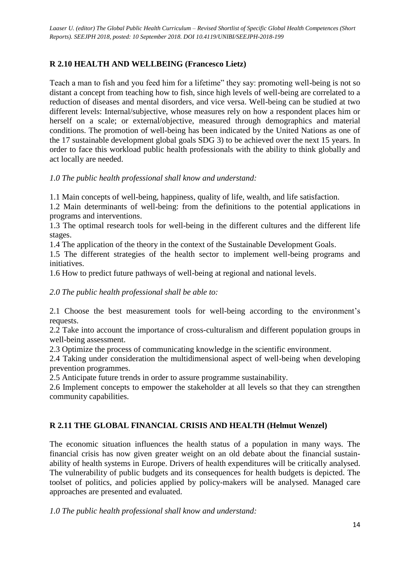# **R 2.10 HEALTH AND WELLBEING (Francesco Lietz)**

Teach a man to fish and you feed him for a lifetime" they say: promoting well-being is not so distant a concept from teaching how to fish, since high levels of well-being are correlated to a reduction of diseases and mental disorders, and vice versa. Well-being can be studied at two different levels: Internal/subjective, whose measures rely on how a respondent places him or herself on a scale; or external/objective, measured through demographics and material conditions. The promotion of well-being has been indicated by the United Nations as one of the 17 sustainable development global goals SDG 3) to be achieved over the next 15 years. In order to face this workload public health professionals with the ability to think globally and act locally are needed.

#### *1.0 The public health professional shall know and understand:*

1.1 Main concepts of well-being, happiness, quality of life, wealth, and life satisfaction.

1.2 Main determinants of well-being: from the definitions to the potential applications in programs and interventions.

1.3 The optimal research tools for well-being in the different cultures and the different life stages.

1.4 The application of the theory in the context of the Sustainable Development Goals.

1.5 The different strategies of the health sector to implement well-being programs and initiatives.

1.6 How to predict future pathways of well-being at regional and national levels.

### *2.0 The public health professional shall be able to:*

2.1 Choose the best measurement tools for well-being according to the environment's requests.

2.2 Take into account the importance of cross-culturalism and different population groups in well-being assessment.

2.3 Optimize the process of communicating knowledge in the scientific environment.

2.4 Taking under consideration the multidimensional aspect of well-being when developing prevention programmes.

2.5 Anticipate future trends in order to assure programme sustainability.

2.6 Implement concepts to empower the stakeholder at all levels so that they can strengthen community capabilities.

# **R 2.11 THE GLOBAL FINANCIAL CRISIS AND HEALTH (Helmut Wenzel)**

The economic situation influences the health status of a population in many ways. The financial crisis has now given greater weight on an old debate about the financial sustainability of health systems in Europe. Drivers of health expenditures will be critically analysed. The vulnerability of public budgets and its consequences for health budgets is depicted. The toolset of politics, and policies applied by policy-makers will be analysed. Managed care approaches are presented and evaluated.

*1.0 The public health professional shall know and understand:*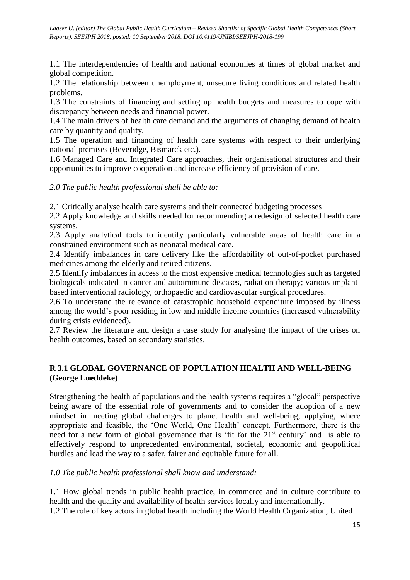1.1 The interdependencies of health and national economies at times of global market and global competition.

1.2 The relationship between unemployment, unsecure living conditions and related health problems.

1.3 The constraints of financing and setting up health budgets and measures to cope with discrepancy between needs and financial power.

1.4 The main drivers of health care demand and the arguments of changing demand of health care by quantity and quality.

1.5 The operation and financing of health care systems with respect to their underlying national premises (Beveridge, Bismarck etc.).

1.6 Managed Care and Integrated Care approaches, their organisational structures and their opportunities to improve cooperation and increase efficiency of provision of care.

*2.0 The public health professional shall be able to:*

2.1 Critically analyse health care systems and their connected budgeting processes

2.2 Apply knowledge and skills needed for recommending a redesign of selected health care systems.

2.3 Apply analytical tools to identify particularly vulnerable areas of health care in a constrained environment such as neonatal medical care.

2.4 Identify imbalances in care delivery like the affordability of out-of-pocket purchased medicines among the elderly and retired citizens.

2.5 Identify imbalances in access to the most expensive medical technologies such as targeted biologicals indicated in cancer and autoimmune diseases, radiation therapy; various implantbased interventional radiology, orthopaedic and cardiovascular surgical procedures.

2.6 To understand the relevance of catastrophic household expenditure imposed by illness among the world's poor residing in low and middle income countries (increased vulnerability during crisis evidenced).

2.7 Review the literature and design a case study for analysing the impact of the crises on health outcomes, based on secondary statistics.

# **R 3.1 GLOBAL GOVERNANCE OF POPULATION HEALTH AND WELL-BEING (George Lueddeke)**

Strengthening the health of populations and the health systems requires a "glocal" perspective being aware of the essential role of governments and to consider the adoption of a new mindset in meeting global challenges to planet health and well-being, applying, where appropriate and feasible, the 'One World, One Health' concept. Furthermore, there is the need for a new form of global governance that is 'fit for the 21<sup>st</sup> century' and is able to effectively respond to unprecedented environmental, societal, economic and geopolitical hurdles and lead the way to a safer, fairer and equitable future for all.

## *1.0 The public health professional shall know and understand:*

1.1 How global trends in public health practice, in commerce and in culture contribute to health and the quality and availability of health services locally and internationally. 1.2 The role of key actors in global health including the World Health Organization, United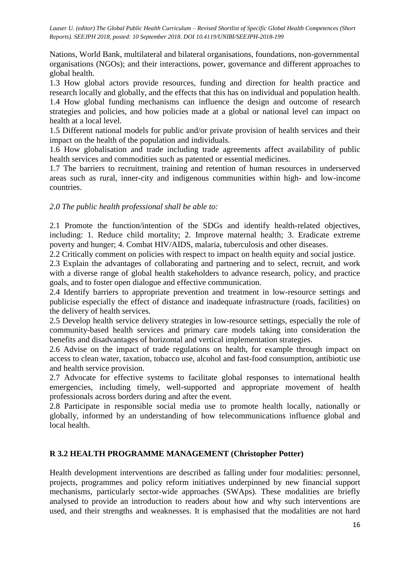Nations, World Bank, multilateral and bilateral organisations, foundations, non-governmental organisations (NGOs); and their interactions, power, governance and different approaches to global health.

1.3 How global actors provide resources, funding and direction for health practice and research locally and globally, and the effects that this has on individual and population health. 1.4 How global funding mechanisms can influence the design and outcome of research strategies and policies, and how policies made at a global or national level can impact on health at a local level.

1.5 Different national models for public and/or private provision of health services and their impact on the health of the population and individuals.

1.6 How globalisation and trade including trade agreements affect availability of public health services and commodities such as patented or essential medicines.

1.7 The barriers to recruitment, training and retention of human resources in underserved areas such as rural, inner-city and indigenous communities within high- and low-income countries.

#### *2.0 The public health professional shall be able to:*

2.1 Promote the function/intention of the SDGs and identify health-related objectives, including: 1. Reduce child mortality; 2. Improve maternal health; 3. Eradicate extreme poverty and hunger; 4. Combat HIV/AIDS, malaria, tuberculosis and other diseases.

2.2 Critically comment on policies with respect to impact on health equity and social justice.

2.3 Explain the advantages of collaborating and partnering and to select, recruit, and work with a diverse range of global health stakeholders to advance research, policy, and practice goals, and to foster open dialogue and effective communication.

2.4 Identify barriers to appropriate prevention and treatment in low-resource settings and publicise especially the effect of distance and inadequate infrastructure (roads, facilities) on the delivery of health services.

2.5 Develop health service delivery strategies in low-resource settings, especially the role of community-based health services and primary care models taking into consideration the benefits and disadvantages of horizontal and vertical implementation strategies.

2.6 Advise on the impact of trade regulations on health, for example through impact on access to clean water, taxation, tobacco use, alcohol and fast-food consumption, antibiotic use and health service provision.

2.7 Advocate for effective systems to facilitate global responses to international health emergencies, including timely, well-supported and appropriate movement of health professionals across borders during and after the event.

2.8 Participate in responsible social media use to promote health locally, nationally or globally, informed by an understanding of how telecommunications influence global and local health.

#### **R 3.2 HEALTH PROGRAMME MANAGEMENT (Christopher Potter)**

Health development interventions are described as falling under four modalities: personnel, projects, programmes and policy reform initiatives underpinned by new financial support mechanisms, particularly sector-wide approaches (SWAps). These modalities are briefly analysed to provide an introduction to readers about how and why such interventions are used, and their strengths and weaknesses. It is emphasised that the modalities are not hard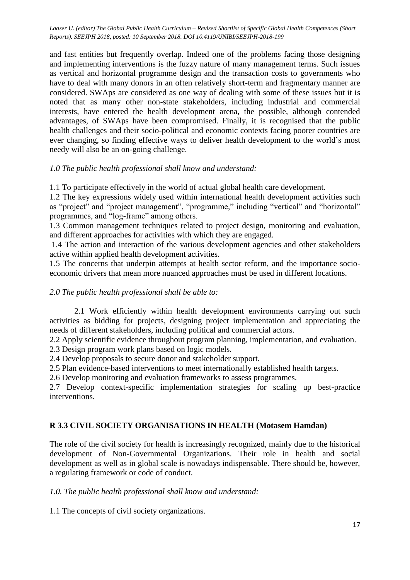and fast entities but frequently overlap. Indeed one of the problems facing those designing and implementing interventions is the fuzzy nature of many management terms. Such issues as vertical and horizontal programme design and the transaction costs to governments who have to deal with many donors in an often relatively short-term and fragmentary manner are considered. SWAps are considered as one way of dealing with some of these issues but it is noted that as many other non-state stakeholders, including industrial and commercial interests, have entered the health development arena, the possible, although contended advantages, of SWAps have been compromised. Finally, it is recognised that the public health challenges and their socio-political and economic contexts facing poorer countries are ever changing, so finding effective ways to deliver health development to the world's most needy will also be an on-going challenge.

#### *1.0 The public health professional shall know and understand:*

1.1 To participate effectively in the world of actual global health care development.

1.2 The key expressions widely used within international health development activities such as "project" and "project management", "programme," including "vertical" and "horizontal" programmes, and "log-frame" among others.

1.3 Common management techniques related to project design, monitoring and evaluation, and different approaches for activities with which they are engaged.

1.4 The action and interaction of the various development agencies and other stakeholders active within applied health development activities.

1.5 The concerns that underpin attempts at health sector reform, and the importance socioeconomic drivers that mean more nuanced approaches must be used in different locations.

#### *2.0 The public health professional shall be able to:*

2.1 Work efficiently within health development environments carrying out such activities as bidding for projects, designing project implementation and appreciating the needs of different stakeholders, including political and commercial actors.

2.2 Apply scientific evidence throughout program planning, implementation, and evaluation.

2.3 Design program work plans based on logic models.

2.4 Develop proposals to secure donor and stakeholder support.

2.5 Plan evidence-based interventions to meet internationally established health targets.

2.6 Develop monitoring and evaluation frameworks to assess programmes.

2.7 Develop context-specific implementation strategies for scaling up best-practice interventions.

## **R 3.3 CIVIL SOCIETY ORGANISATIONS IN HEALTH (Motasem Hamdan)**

The role of the civil society for health is increasingly recognized, mainly due to the historical development of Non-Governmental Organizations. Their role in health and social development as well as in global scale is nowadays indispensable. There should be, however, a regulating framework or code of conduct.

#### *1.0. The public health professional shall know and understand:*

1.1 The concepts of civil society organizations.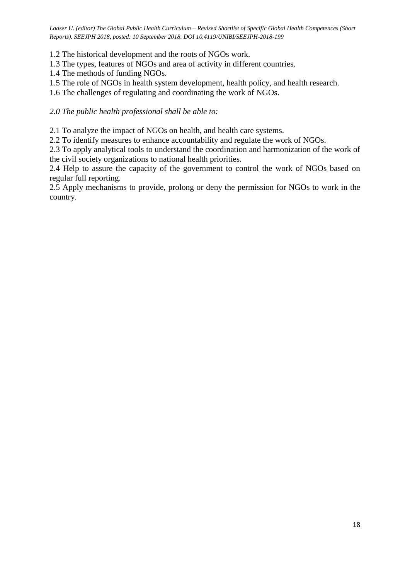1.2 The historical development and the roots of NGOs work.

- 1.3 The types, features of NGOs and area of activity in different countries.
- 1.4 The methods of funding NGOs.
- 1.5 The role of NGOs in health system development, health policy, and health research.
- 1.6 The challenges of regulating and coordinating the work of NGOs.

*2.0 The public health professional shall be able to:*

2.1 To analyze the impact of NGOs on health, and health care systems.

2.2 To identify measures to enhance accountability and regulate the work of NGOs.

2.3 To apply analytical tools to understand the coordination and harmonization of the work of the civil society organizations to national health priorities.

2.4 Help to assure the capacity of the government to control the work of NGOs based on regular full reporting.

2.5 Apply mechanisms to provide, prolong or deny the permission for NGOs to work in the country.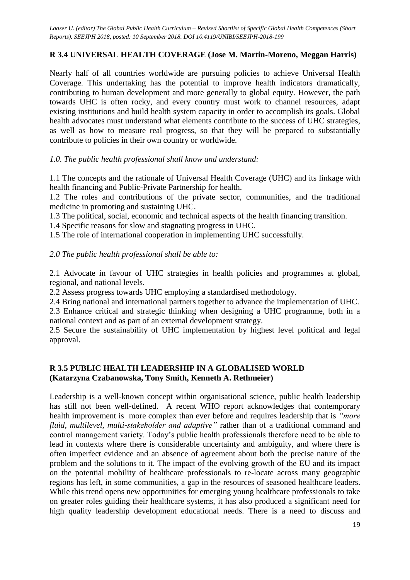# **R 3.4 UNIVERSAL HEALTH COVERAGE (Jose M. Martin-Moreno, Meggan Harris)**

Nearly half of all countries worldwide are pursuing policies to achieve Universal Health Coverage. This undertaking has the potential to improve health indicators dramatically, contributing to human development and more generally to global equity. However, the path towards UHC is often rocky, and every country must work to channel resources, adapt existing institutions and build health system capacity in order to accomplish its goals. Global health advocates must understand what elements contribute to the success of UHC strategies, as well as how to measure real progress, so that they will be prepared to substantially contribute to policies in their own country or worldwide.

*1.0. The public health professional shall know and understand:*

1.1 The concepts and the rationale of Universal Health Coverage (UHC) and its linkage with health financing and Public-Private Partnership for health.

1.2 The roles and contributions of the private sector, communities, and the traditional medicine in promoting and sustaining UHC.

1.3 The political, social, economic and technical aspects of the health financing transition.

1.4 Specific reasons for slow and stagnating progress in UHC.

1.5 The role of international cooperation in implementing UHC successfully.

#### *2.0 The public health professional shall be able to:*

2.1 Advocate in favour of UHC strategies in health policies and programmes at global, regional, and national levels.

2.2 Assess progress towards UHC employing a standardised methodology.

2.4 Bring national and international partners together to advance the implementation of UHC.

2.3 Enhance critical and strategic thinking when designing a UHC programme, both in a national context and as part of an external development strategy.

2.5 Secure the sustainability of UHC implementation by highest level political and legal approval.

## **R 3.5 PUBLIC HEALTH LEADERSHIP IN A GLOBALISED WORLD (Katarzyna Czabanowska, Tony Smith, Kenneth A. Rethmeier)**

Leadership is a well-known concept within organisational science, public health leadership has still not been well-defined. A recent WHO report acknowledges that contemporary health improvement is more complex than ever before and requires leadership that is *"more fluid, multilevel, multi-stakeholder and adaptive"* rather than of a traditional command and control management variety. Today's public health professionals therefore need to be able to lead in contexts where there is considerable uncertainty and ambiguity, and where there is often imperfect evidence and an absence of agreement about both the precise nature of the problem and the solutions to it. The impact of the evolving growth of the EU and its impact on the potential mobility of healthcare professionals to re-locate across many geographic regions has left, in some communities, a gap in the resources of seasoned healthcare leaders. While this trend opens new opportunities for emerging young healthcare professionals to take on greater roles guiding their healthcare systems, it has also produced a significant need for high quality leadership development educational needs. There is a need to discuss and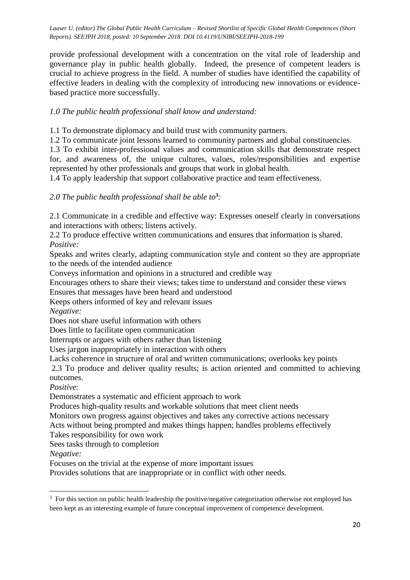provide professional development with a concentration on the vital role of leadership and governance play in public health globally. Indeed, the presence of competent leaders is crucial to achieve progress in the field. A number of studies have identified the capability of effective leaders in dealing with the complexity of introducing new innovations or evidencebased practice more successfully.

## *1.0 The public health professional shall know and understand:*

1.1 To demonstrate diplomacy and build trust with community partners.

1.2 To communicate joint lessons learned to community partners and global constituencies.

1.3 To exhibit inter-professional values and communication skills that demonstrate respect for, and awareness of, the unique cultures, values, roles/responsibilities and expertise represented by other professionals and groups that work in global health.

1.4 To apply leadership that support collaborative practice and team effectiveness.

## *2.0 The public health professional shall be able to***<sup>3</sup>** *:*

2.1 Communicate in a credible and effective way: Expresses oneself clearly in conversations and interactions with others; listens actively.

2.2 To produce effective written communications and ensures that information is shared. *Positive:*

Speaks and writes clearly, adapting communication style and content so they are appropriate to the needs of the intended audience

Conveys information and opinions in a structured and credible way

Encourages others to share their views; takes time to understand and consider these views

Ensures that messages have been heard and understood

Keeps others informed of key and relevant issues

*Negative:*

Does not share useful information with others

Does little to facilitate open communication

Interrupts or argues with others rather than listening

Uses jargon inappropriately in interaction with others

Lacks coherence in structure of oral and written communications; overlooks key points

2.3 To produce and deliver quality results; is action oriented and committed to achieving outcomes.

*Positive:*

Demonstrates a systematic and efficient approach to work

Produces high-quality results and workable solutions that meet client needs

Monitors own progress against objectives and takes any corrective actions necessary

Acts without being prompted and makes things happen; handles problems effectively

Takes responsibility for own work

Sees tasks through to completion

*Negative:*

**.** 

Focuses on the trivial at the expense of more important issues

Provides solutions that are inappropriate or in conflict with other needs.

<sup>&</sup>lt;sup>3</sup> For this section on public health leadership the positive/negative categorization otherwise not employed has been kept as an interesting example of future conceptual improvement of competence development.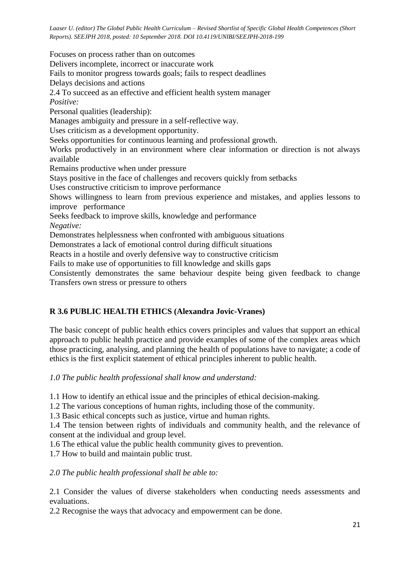Focuses on process rather than on outcomes Delivers incomplete, incorrect or inaccurate work Fails to monitor progress towards goals; fails to respect deadlines Delays decisions and actions 2.4 To succeed as an effective and efficient health system manager *Positive:* Personal qualities (leadership): Manages ambiguity and pressure in a self-reflective way. Uses criticism as a development opportunity. Seeks opportunities for continuous learning and professional growth. Works productively in an environment where clear information or direction is not always available Remains productive when under pressure Stays positive in the face of challenges and recovers quickly from setbacks Uses constructive criticism to improve performance Shows willingness to learn from previous experience and mistakes, and applies lessons to improve performance Seeks feedback to improve skills, knowledge and performance *Negative:* Demonstrates helplessness when confronted with ambiguous situations Demonstrates a lack of emotional control during difficult situations Reacts in a hostile and overly defensive way to constructive criticism Fails to make use of opportunities to fill knowledge and skills gaps Consistently demonstrates the same behaviour despite being given feedback to change Transfers own stress or pressure to others

## **R 3.6 PUBLIC HEALTH ETHICS (Alexandra Jovic-Vranes)**

The basic concept of public health ethics covers principles and values that support an ethical approach to public health practice and provide examples of some of the complex areas which those practicing, analysing, and planning the health of populations have to navigate; a code of ethics is the first explicit statement of ethical principles inherent to public health.

*1.0 The public health professional shall know and understand:*

1.1 How to identify an ethical issue and the principles of ethical decision-making.

1.2 The various conceptions of human rights, including those of the community.

1.3 Basic ethical concepts such as justice, virtue and human rights.

1.4 The tension between rights of individuals and community health, and the relevance of consent at the individual and group level.

1.6 The ethical value the public health community gives to prevention.

1.7 How to build and maintain public trust.

*2.0 The public health professional shall be able to:*

2.1 Consider the values of diverse stakeholders when conducting needs assessments and evaluations.

2.2 Recognise the ways that advocacy and empowerment can be done.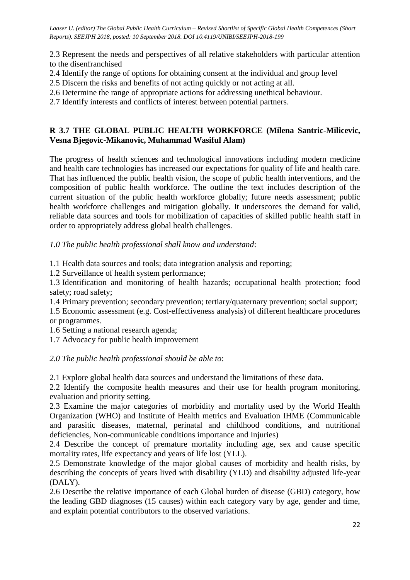2.3 Represent the needs and perspectives of all relative stakeholders with particular attention to the disenfranchised

- 2.4 Identify the range of options for obtaining consent at the individual and group level
- 2.5 Discern the risks and benefits of not acting quickly or not acting at all.
- 2.6 Determine the range of appropriate actions for addressing unethical behaviour.

2.7 Identify interests and conflicts of interest between potential partners.

#### **R 3.7 THE GLOBAL PUBLIC HEALTH WORKFORCE (Milena Santric-Milicevic, Vesna Bjegovic-Mikanovic, Muhammad Wasiful Alam)**

The progress of health sciences and technological innovations including modern medicine and health care technologies has increased our expectations for quality of life and health care. That has influenced the public health vision, the scope of public health interventions, and the composition of public health workforce. The outline the text includes description of the current situation of the public health workforce globally; future needs assessment; public health workforce challenges and mitigation globally. It underscores the demand for valid, reliable data sources and tools for mobilization of capacities of skilled public health staff in order to appropriately address global health challenges.

*1.0 The public health professional shall know and understand*:

1.1 Health data sources and tools; data integration analysis and reporting;

1.2 Surveillance of health system performance;

1.3 Identification and monitoring of health hazards; occupational health protection; food safety; road safety;

1.4 Primary prevention; secondary prevention; tertiary/quaternary prevention; social support;

1.5 Economic assessment (e.g. Cost-effectiveness analysis) of different healthcare procedures or programmes.

1.6 Setting a national research agenda;

1.7 Advocacy for public health improvement

#### *2.0 The public health professional should be able to*:

2.1 Explore global health data sources and understand the limitations of these data.

2.2 Identify the composite health measures and their use for health program monitoring, evaluation and priority setting.

2.3 Examine the major categories of morbidity and mortality used by the World Health Organization (WHO) and Institute of Health metrics and Evaluation IHME (Communicable and parasitic diseases, maternal, perinatal and childhood conditions, and nutritional deficiencies, Non-communicable conditions importance and Injuries)

2.4 Describe the concept of premature mortality including age, sex and cause specific mortality rates, life expectancy and years of life lost (YLL).

2.5 Demonstrate knowledge of the major global causes of morbidity and health risks, by describing the concepts of years lived with disability (YLD) and disability adjusted life-year (DALY).

2.6 Describe the relative importance of each Global burden of disease (GBD) category, how the leading GBD diagnoses (15 causes) within each category vary by age, gender and time, and explain potential contributors to the observed variations.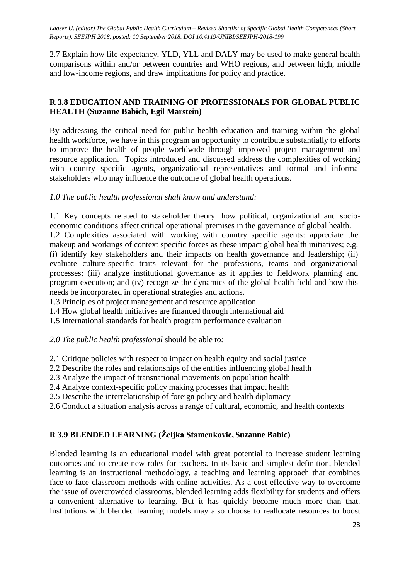2.7 Explain how life expectancy, YLD, YLL and DALY may be used to make general health comparisons within and/or between countries and WHO regions, and between high, middle and low-income regions, and draw implications for policy and practice.

## **R 3.8 EDUCATION AND TRAINING OF PROFESSIONALS FOR GLOBAL PUBLIC HEALTH (Suzanne Babich, Egil Marstein)**

By addressing the critical need for public health education and training within the global health workforce, we have in this program an opportunity to contribute substantially to efforts to improve the health of people worldwide through improved project management and resource application. Topics introduced and discussed address the complexities of working with country specific agents, organizational representatives and formal and informal stakeholders who may influence the outcome of global health operations.

## *1.0 The public health professional shall know and understand:*

1.1 Key concepts related to stakeholder theory: how political, organizational and socioeconomic conditions affect critical operational premises in the governance of global health.

1.2 Complexities associated with working with country specific agents: appreciate the makeup and workings of context specific forces as these impact global health initiatives; e.g. (i) identify key stakeholders and their impacts on health governance and leadership; (ii) evaluate culture-specific traits relevant for the professions, teams and organizational processes; (iii) analyze institutional governance as it applies to fieldwork planning and program execution; and (iv) recognize the dynamics of the global health field and how this needs be incorporated in operational strategies and actions.

1.3 Principles of project management and resource application

- 1.4 How global health initiatives are financed through international aid
- 1.5 International standards for health program performance evaluation

*2.0 The public health professional* should be able to*:*

- 2.1 Critique policies with respect to impact on health equity and social justice
- 2.2 Describe the roles and relationships of the entities influencing global health
- 2.3 Analyze the impact of transnational movements on population health
- 2.4 Analyze context-specific policy making processes that impact health
- 2.5 Describe the interrelationship of foreign policy and health diplomacy
- 2.6 Conduct a situation analysis across a range of cultural, economic, and health contexts

# **R 3.9 BLENDED LEARNING (Željka Stamenkovic, Suzanne Babic)**

Blended learning is an educational model with great potential to increase student learning outcomes and to create new roles for teachers. In its basic and simplest definition, blended learning is an instructional methodology, a teaching and learning approach that combines face-to-face classroom methods with online activities. As a cost-effective way to overcome the issue of overcrowded classrooms, blended learning adds flexibility for students and offers a convenient alternative to learning. But it has quickly become much more than that. Institutions with blended learning models may also choose to reallocate resources to boost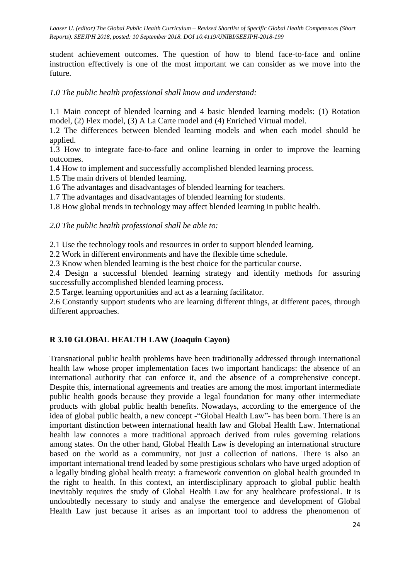student achievement outcomes. The question of how to blend face-to-face and online instruction effectively is one of the most important we can consider as we move into the future.

#### *1.0 The public health professional shall know and understand:*

1.1 Main concept of blended learning and 4 basic blended learning models: (1) Rotation model, (2) Flex model, (3) A La Carte model and (4) Enriched Virtual model.

1.2 The differences between blended learning models and when each model should be applied.

1.3 How to integrate face-to-face and online learning in order to improve the learning outcomes.

1.4 How to implement and successfully accomplished blended learning process.

1.5 The main drivers of blended learning.

1.6 The advantages and disadvantages of blended learning for teachers.

1.7 The advantages and disadvantages of blended learning for students.

1.8 How global trends in technology may affect blended learning in public health.

*2.0 The public health professional shall be able to:*

2.1 Use the technology tools and resources in order to support blended learning.

2.2 Work in different environments and have the flexible time schedule.

2.3 Know when blended learning is the best choice for the particular course.

2.4 Design a successful blended learning strategy and identify methods for assuring successfully accomplished blended learning process.

2.5 Target learning opportunities and act as a learning facilitator.

2.6 Constantly support students who are learning different things, at different paces, through different approaches.

## **R 3.10 GLOBAL HEALTH LAW (Joaquin Cayon)**

Transnational public health problems have been traditionally addressed through international health law whose proper implementation faces two important handicaps: the absence of an international authority that can enforce it, and the absence of a comprehensive concept. Despite this, international agreements and treaties are among the most important intermediate public health goods because they provide a legal foundation for many other intermediate products with global public health benefits. Nowadays, according to the emergence of the idea of global public health, a new concept -"Global Health Law"- has been born. There is an important distinction between international health law and Global Health Law. International health law connotes a more traditional approach derived from rules governing relations among states. On the other hand, Global Health Law is developing an international structure based on the world as a community, not just a collection of nations. There is also an important international trend leaded by some prestigious scholars who have urged adoption of a legally binding global health treaty: a framework convention on global health grounded in the right to health. In this context, an interdisciplinary approach to global public health inevitably requires the study of Global Health Law for any healthcare professional. It is undoubtedly necessary to study and analyse the emergence and development of Global Health Law just because it arises as an important tool to address the phenomenon of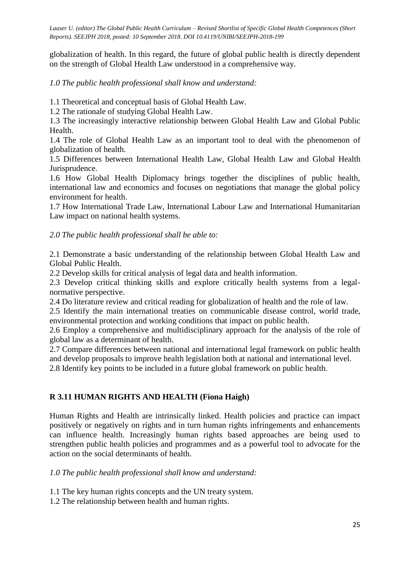globalization of health. In this regard, the future of global public health is directly dependent on the strength of Global Health Law understood in a comprehensive way.

*1.0 The public health professional shall know and understand:*

1.1 Theoretical and conceptual basis of Global Health Law.

1.2 The rationale of studying Global Health Law.

1.3 The increasingly interactive relationship between Global Health Law and Global Public Health.

1.4 The role of Global Health Law as an important tool to deal with the phenomenon of globalization of health.

1.5 Differences between International Health Law, Global Health Law and Global Health Jurisprudence.

1.6 How Global Health Diplomacy brings together the disciplines of public health, international law and economics and focuses on negotiations that manage the global policy environment for health.

1.7 How International Trade Law, International Labour Law and International Humanitarian Law impact on national health systems.

*2.0 The public health professional shall be able to:*

2.1 Demonstrate a basic understanding of the relationship between Global Health Law and Global Public Health.

2.2 Develop skills for critical analysis of legal data and health information.

2.3 Develop critical thinking skills and explore critically health systems from a legalnormative perspective.

2.4 Do literature review and critical reading for globalization of health and the role of law.

2.5 Identify the main international treaties on communicable disease control*,* world trade, environmental protection and working conditions that impact on public health.

2.6 Employ a comprehensive and multidisciplinary approach for the analysis of the role of global law as a determinant of health.

2.7 Compare differences between national and international legal framework on public health and develop proposals to improve health legislation both at national and international level.

2.8 Identify key points to be included in a future global framework on public health.

#### **R 3.11 HUMAN RIGHTS AND HEALTH (Fiona Haigh)**

Human Rights and Health are intrinsically linked. Health policies and practice can impact positively or negatively on rights and in turn human rights infringements and enhancements can influence health. Increasingly human rights based approaches are being used to strengthen public health policies and programmes and as a powerful tool to advocate for the action on the social determinants of health.

#### *1.0 The public health professional shall know and understand:*

1.1 The key human rights concepts and the UN treaty system.

1.2 The relationship between health and human rights.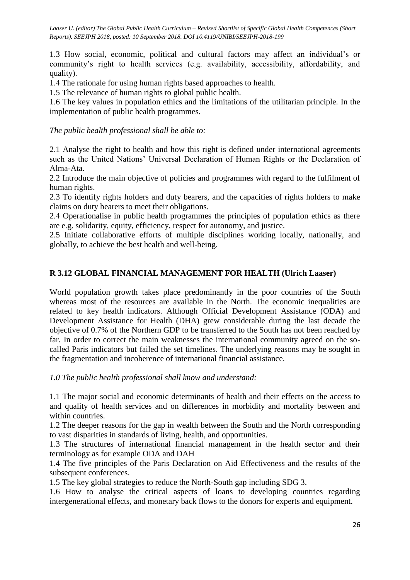1.3 How social, economic, political and cultural factors may affect an individual's or community's right to health services (e.g. availability, accessibility, affordability, and quality).

1.4 The rationale for using human rights based approaches to health.

1.5 The relevance of human rights to global public health.

1.6 The key values in population ethics and the limitations of the utilitarian principle. In the implementation of public health programmes.

*The public health professional shall be able to:*

2.1 Analyse the right to health and how this right is defined under international agreements such as the United Nations' Universal Declaration of Human Rights or the Declaration of Alma-Ata.

2.2 Introduce the main objective of policies and programmes with regard to the fulfilment of human rights.

2.3 To identify rights holders and duty bearers, and the capacities of rights holders to make claims on duty bearers to meet their obligations.

2.4 Operationalise in public health programmes the principles of population ethics as there are e.g. solidarity, equity, efficiency, respect for autonomy, and justice.

2.5 Initiate collaborative efforts of multiple disciplines working locally, nationally, and globally, to achieve the best health and well-being.

#### **R 3.12 GLOBAL FINANCIAL MANAGEMENT FOR HEALTH (Ulrich Laaser)**

World population growth takes place predominantly in the poor countries of the South whereas most of the resources are available in the North. The economic inequalities are related to key health indicators. Although Official Development Assistance (ODA) and Development Assistance for Health (DHA) grew considerable during the last decade the objective of 0.7% of the Northern GDP to be transferred to the South has not been reached by far. In order to correct the main weaknesses the international community agreed on the socalled Paris indicators but failed the set timelines. The underlying reasons may be sought in the fragmentation and incoherence of international financial assistance.

*1.0 The public health professional shall know and understand:*

1.1 The major social and economic determinants of health and their effects on the access to and quality of health services and on differences in morbidity and mortality between and within countries.

1.2 The deeper reasons for the gap in wealth between the South and the North corresponding to vast disparities in standards of living, health, and opportunities.

1.3 The structures of international financial management in the health sector and their terminology as for example ODA and DAH

1.4 The five principles of the Paris Declaration on Aid Effectiveness and the results of the subsequent conferences.

1.5 The key global strategies to reduce the North-South gap including SDG 3.

1.6 How to analyse the critical aspects of loans to developing countries regarding intergenerational effects, and monetary back flows to the donors for experts and equipment.